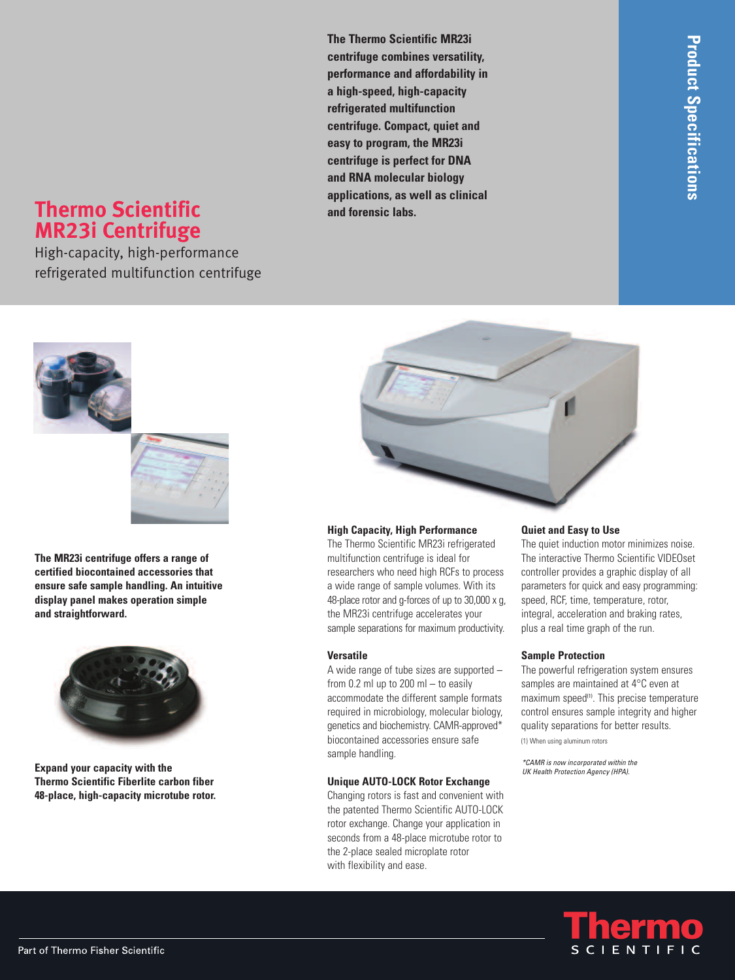# **Thermo Scientific MR23i Centrifuge**

High-capacity, high-performance refrigerated multifunction centrifuge **The Thermo Scientific MR23i centrifuge combines versatility, performance and affordability in a high-speed, high-capacity refrigerated multifunction centrifuge. Compact, quiet and easy to program, the MR23i centrifuge is perfect for DNA and RNA molecular biology applications, as well as clinical and forensic labs.**



#### **High Capacity, High Performance**

The Thermo Scientific MR23i refrigerated multifunction centrifuge is ideal for researchers who need high RCFs to process a wide range of sample volumes. With its 48-place rotor and g-forces of up to 30,000 x g, the MR23i centrifuge accelerates your sample separations for maximum productivity.

#### **Versatile**

A wide range of tube sizes are supported – from 0.2 ml up to 200 ml  $-$  to easily accommodate the different sample formats required in microbiology, molecular biology, genetics and biochemistry. CAMR-approved\* biocontained accessories ensure safe sample handling.

#### **Unique AUTO-LOCK Rotor Exchange**

Changing rotors is fast and convenient with the patented Thermo Scientific AUTO-LOCK rotor exchange. Change your application in seconds from a 48-place microtube rotor to the 2-place sealed microplate rotor with flexibility and ease.

#### **Quiet and Easy to Use**

The quiet induction motor minimizes noise. The interactive Thermo Scientific VIDEOset controller provides a graphic display of all parameters for quick and easy programming: speed, RCF, time, temperature, rotor, integral, acceleration and braking rates, plus a real time graph of the run.

#### **Sample Protection**

The powerful refrigeration system ensures samples are maintained at 4°C even at maximum speed<sup>(1)</sup>. This precise temperature control ensures sample integrity and higher quality separations for better results. (1) When using aluminum rotors

*\*CAMR is now incorporated within the UK Health Protection Agency (HPA).*





**The MR23i centrifuge offers a range of certified biocontained accessories that ensure safe sample handling. An intuitive display panel makes operation simple**

**and straightforward.**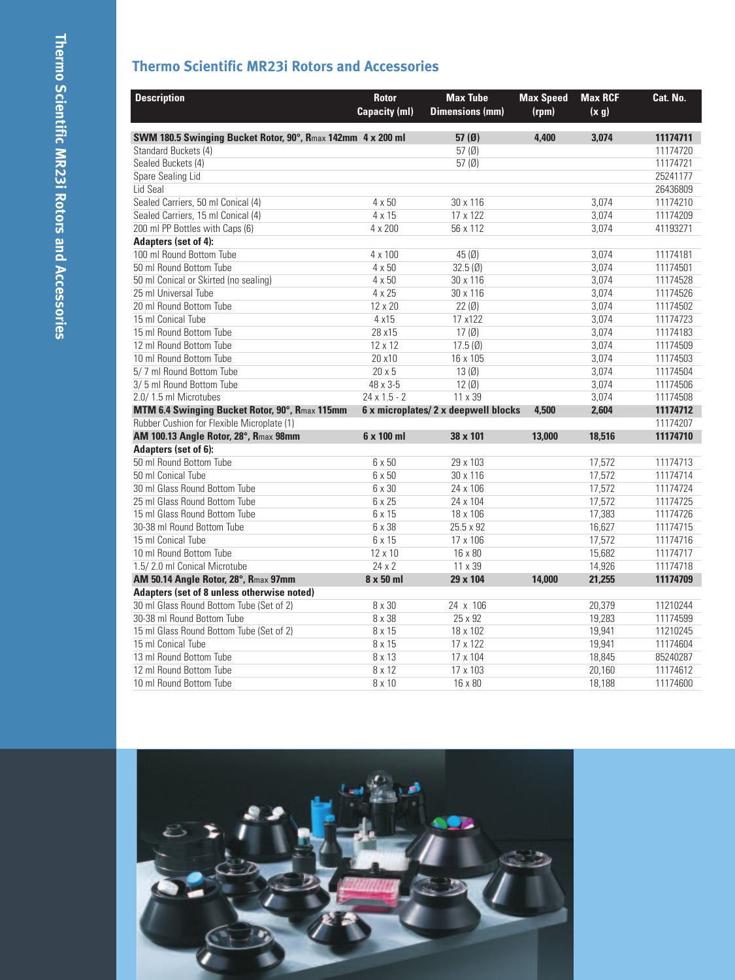## **Thermo Scientific MR23i Rotors and Accessories**

| <b>Description</b>                                          | <b>Rotor</b>         | <b>Max Tube</b>                      | <b>Max Speed</b> | <b>Max RCF</b> | Cat. No. |
|-------------------------------------------------------------|----------------------|--------------------------------------|------------------|----------------|----------|
|                                                             | <b>Capacity (ml)</b> | <b>Dimensions (mm)</b>               | (rpm)            | (x, g)         |          |
| SWM 180.5 Swinging Bucket Rotor, 90°, Rmax 142mm 4 x 200 ml |                      | 57 $(0)$                             | 4.400            | 3.074          | 11174711 |
| Standard Buckets (4)                                        |                      | 57(0)                                |                  |                | 11174720 |
| Sealed Buckets (4)                                          |                      | 57 $(\emptyset)$                     |                  |                | 11174721 |
| Spare Sealing Lid                                           |                      |                                      |                  |                | 25241177 |
| Lid Seal                                                    |                      |                                      |                  |                | 26436809 |
| Sealed Carriers, 50 ml Conical (4)                          | 4 x 50               | 30 x 116                             |                  | 3,074          | 11174210 |
| Sealed Carriers, 15 ml Conical (4)                          | 4 x 15               | 17 x 122                             |                  | 3,074          | 11174209 |
| 200 ml PP Bottles with Caps (6)                             | 4 x 200              | 56 x 112                             |                  | 3,074          | 41193271 |
| Adapters (set of 4):                                        |                      |                                      |                  |                |          |
| 100 ml Round Bottom Tube                                    | 4 x 100              | 45(0)                                |                  | 3,074          | 11174181 |
| 50 ml Round Bottom Tube                                     | $4 \times 50$        | 32.5(0)                              |                  | 3.074          | 11174501 |
| 50 ml Conical or Skirted (no sealing)                       | $4 \times 50$        | 30 x 116                             |                  | 3,074          | 11174528 |
| 25 ml Universal Tube                                        | 4 x 25               | 30 x 116                             |                  | 3.074          | 11174526 |
| 20 ml Round Bottom Tube                                     | 12 x 20              | 22(0)                                |                  | 3,074          | 11174502 |
| 15 ml Conical Tube                                          | 4 x15                | 17 x122                              |                  | 3,074          | 11174723 |
| 15 ml Round Bottom Tube                                     | 28 x15               | 17(0)                                |                  | 3,074          | 11174183 |
| 12 ml Round Bottom Tube                                     | $12 \times 12$       | 17.5(0)                              |                  | 3,074          | 11174509 |
| 10 ml Round Bottom Tube                                     | 20 x10               | 16 x 105                             |                  | 3,074          | 11174503 |
| 5/7 ml Round Bottom Tube                                    | $20 \times 5$        | 13(0)                                |                  | 3,074          | 11174504 |
| 3/5 ml Round Bottom Tube                                    | 48 x 3-5             | 12(0)                                |                  | 3,074          | 11174506 |
| 2.0/1.5 ml Microtubes                                       | $24 \times 1.5 - 2$  | 11 x 39                              |                  | 3,074          | 11174508 |
| MTM 6.4 Swinging Bucket Rotor, 90°, Rmax 115mm              |                      | 6 x microplates/ 2 x deepwell blocks | 4.500            | 2,604          | 11174712 |
| Rubber Cushion for Flexible Microplate (1)                  |                      |                                      |                  |                | 11174207 |
| AM 100.13 Angle Rotor, 28°, Rmax 98mm                       | 6 x 100 ml           | 38 x 101                             | 13,000           | 18,516         | 11174710 |
| <b>Adapters (set of 6):</b>                                 |                      |                                      |                  |                |          |
| 50 ml Round Bottom Tube                                     | 6 x 50               | 29 x 103                             |                  | 17,572         | 11174713 |
| 50 ml Conical Tube                                          | 6 x 50               | 30 x 116                             |                  | 17,572         | 11174714 |
| 30 ml Glass Round Bottom Tube                               | 6 x 30               | 24 x 106                             |                  | 17,572         | 11174724 |
| 25 ml Glass Round Bottom Tube                               | 6 x 25               | 24 x 104                             |                  | 17,572         | 11174725 |
| 15 ml Glass Round Bottom Tube                               | 6 x 15               | 18 x 106                             |                  | 17,383         | 11174726 |
| 30-38 ml Round Bottom Tube                                  | 6 x 38               | 25.5 x 92                            |                  | 16,627         | 11174715 |
| 15 ml Conical Tube                                          | 6 x 15               | 17 x 106                             |                  | 17,572         | 11174716 |
| 10 ml Round Bottom Tube                                     | 12 x 10              | 16 x 80                              |                  | 15,682         | 11174717 |
| 1.5/2.0 ml Conical Microtube                                | $24 \times 2$        | 11 x 39                              |                  | 14,926         | 11174718 |
| AM 50.14 Angle Rotor, 28°, Rmax 97mm                        | 8 x 50 ml            | 29 x 104                             | 14.000           | 21,255         | 11174709 |
| Adapters (set of 8 unless otherwise noted)                  |                      |                                      |                  |                |          |
| 30 ml Glass Round Bottom Tube (Set of 2)                    | 8 x 30               | 24 x 106                             |                  | 20,379         | 11210244 |
| 30-38 ml Round Bottom Tube                                  | 8 x 38               | 25 x 92                              |                  | 19,283         | 11174599 |
| 15 ml Glass Round Bottom Tube (Set of 2)                    | 8 x 15               | 18 x 102                             |                  | 19,941         | 11210245 |
| 15 ml Conical Tube                                          | 8 x 15               | 17 x 122                             |                  | 19,941         | 11174604 |
| 13 ml Round Bottom Tube                                     | 8 x 13               | 17 x 104                             |                  | 18,845         | 85240287 |
| 12 ml Round Bottom Tube                                     | 8 x 12               | 17 x 103                             |                  | 20,160         | 11174612 |
| 10 ml Round Bottom Tube                                     | 8 x 10               | 16 x 80                              |                  | 18,188         | 11174600 |

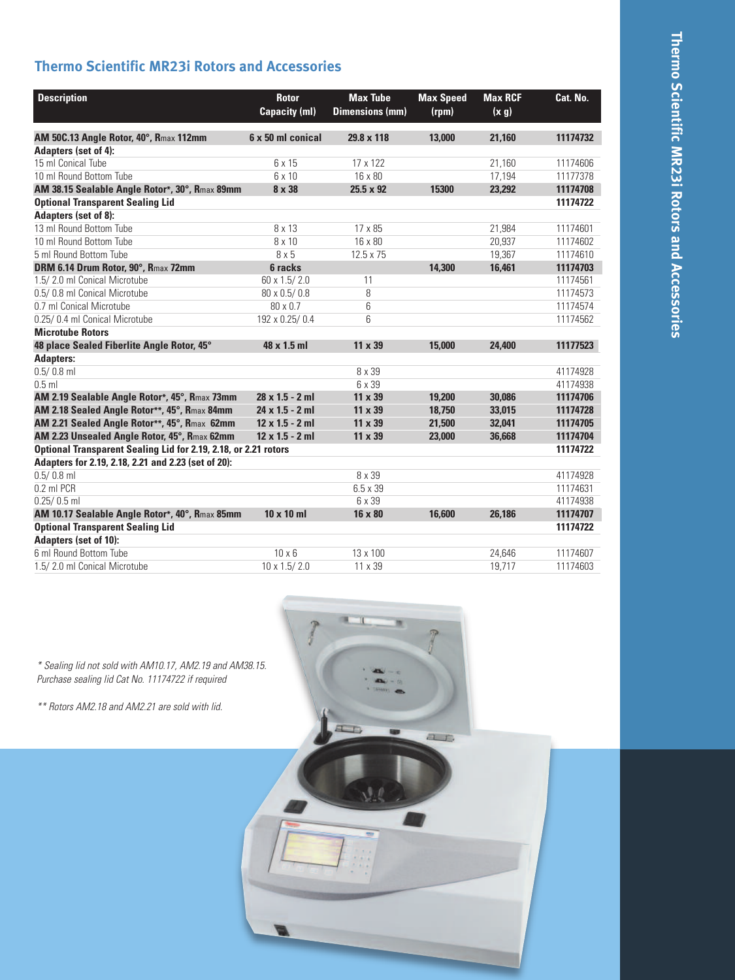### **Thermo Scientific MR23i Rotors and Accessories**

| <b>Description</b>                                              | <b>Rotor</b><br><b>Capacity (ml)</b> | <b>Max Tube</b><br><b>Dimensions (mm)</b> | <b>Max Speed</b><br>(rpm) | <b>Max RCF</b><br>(x g) | Cat. No. |
|-----------------------------------------------------------------|--------------------------------------|-------------------------------------------|---------------------------|-------------------------|----------|
| AM 50C.13 Angle Rotor, 40°, Rmax 112mm                          | 6 x 50 ml conical                    | 29.8 x 118                                | 13,000                    | 21.160                  | 11174732 |
| Adapters (set of 4):                                            |                                      |                                           |                           |                         |          |
| 15 ml Conical Tube                                              | 6 x 15                               | 17 x 122                                  |                           | 21.160                  | 11174606 |
| 10 ml Round Bottom Tube                                         | 6 x 10                               | 16 x 80                                   |                           | 17,194                  | 11177378 |
| AM 38.15 Sealable Angle Rotor*, 30°, Rmax 89mm                  | 8 x 38                               | $25.5 \times 92$                          | 15300                     | 23,292                  | 11174708 |
| <b>Optional Transparent Sealing Lid</b>                         |                                      |                                           |                           |                         | 11174722 |
| Adapters (set of 8):                                            |                                      |                                           |                           |                         |          |
| 13 ml Round Bottom Tube                                         | 8 x 13                               | 17 x 85                                   |                           | 21.984                  | 11174601 |
| 10 ml Round Bottom Tube                                         | 8 x 10                               | 16 x 80                                   |                           | 20,937                  | 11174602 |
| 5 ml Round Bottom Tube                                          | 8 x 5                                | 12.5 x 75                                 |                           | 19,367                  | 11174610 |
| DRM 6.14 Drum Rotor, 90°, Rmax 72mm                             | 6 racks                              |                                           | 14,300                    | 16,461                  | 11174703 |
| 1.5/2.0 ml Conical Microtube                                    | 60 x 1.5/2.0                         | 11                                        |                           |                         | 11174561 |
| 0.5/0.8 ml Conical Microtube                                    | 80 x 0.5/0.8                         | 8                                         |                           |                         | 11174573 |
| 0.7 ml Conical Microtube                                        | 80 x 0.7                             | 6                                         |                           |                         | 11174574 |
| 0.25/0.4 ml Conical Microtube                                   | 192 x 0.25/0.4                       | 6                                         |                           |                         | 11174562 |
| <b>Microtube Rotors</b>                                         |                                      |                                           |                           |                         |          |
| 48 place Sealed Fiberlite Angle Rotor, 45°                      | 48 x 1.5 ml                          | 11 x 39                                   | 15,000                    | 24,400                  | 11177523 |
| <b>Adapters:</b>                                                |                                      |                                           |                           |                         |          |
| $0.5/0.8$ ml                                                    |                                      | 8 x 39                                    |                           |                         | 41174928 |
| $0.5$ ml                                                        |                                      | 6 x 39                                    |                           |                         | 41174938 |
| AM 2.19 Sealable Angle Rotor*, 45°, Rmax 73mm                   | $28 \times 1.5 - 2$ ml               | 11 x 39                                   | 19,200                    | 30.086                  | 11174706 |
| AM 2.18 Sealed Angle Rotor**, 45°, Rmax 84mm                    | $24 \times 1.5 - 2$ ml               | 11 x 39                                   | 18,750                    | 33.015                  | 11174728 |
| AM 2.21 Sealed Angle Rotor**, 45°, Rmax 62mm                    | $12 \times 1.5 - 2$ ml               | 11 x 39                                   | 21,500                    | 32,041                  | 11174705 |
| AM 2.23 Unsealed Angle Rotor, 45°, Rmax 62mm                    | $12 \times 1.5 - 2$ ml               | 11 x 39                                   | 23,000                    | 36,668                  | 11174704 |
| Optional Transparent Sealing Lid for 2.19, 2.18, or 2.21 rotors |                                      |                                           |                           |                         | 11174722 |
| Adapters for 2.19, 2.18, 2.21 and 2.23 (set of 20):             |                                      |                                           |                           |                         |          |
| $0.5/0.8$ ml                                                    |                                      | 8 x 39                                    |                           |                         | 41174928 |
| 0.2 ml PCR                                                      |                                      | 6.5 x 39                                  |                           |                         | 11174631 |
| $0.25/0.5$ ml                                                   |                                      | 6 x 39                                    |                           |                         | 41174938 |
| AM 10.17 Sealable Angle Rotor*, 40°, Rmax 85mm                  | $10 \times 10$ ml                    | 16 x 80                                   | 16,600                    | 26,186                  | 11174707 |
| <b>Optional Transparent Sealing Lid</b>                         |                                      |                                           |                           |                         | 11174722 |
| Adapters (set of 10):                                           |                                      |                                           |                           |                         |          |
| 6 ml Round Bottom Tube                                          | $10 \times 6$                        | 13 x 100                                  |                           | 24,646                  | 11174607 |
| 1.5/2.0 ml Conical Microtube                                    | $10 \times 1.5 / 2.0$                | 11 x 39                                   |                           | 19.717                  | 11174603 |

 $\overline{I}$ 

 $a_{\perp}$ 

 $\mathcal{M}$ 

*\* Sealing lid not sold with AM10.17, AM2.19 and AM38.15. Purchase sealing lid Cat No. 11174722 if required*

*\*\* Rotors AM2.18 and AM2.21 are sold with lid.*